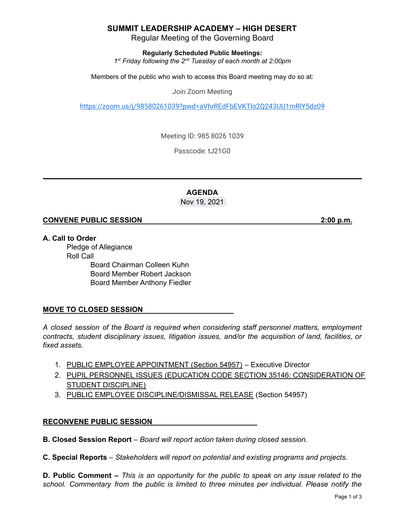### **SUMMIT LEADERSHIP ACADEMY – HIGH DESERT**

Regular Meeting of the Governing Board

**Regularly Scheduled Public Meetings:**

*1 st Friday following the 2 nd Tuesday of each month at 2:00pm*

Members of the public who wish to access this Board meeting may do so at:

Join Zoom Meeting

<https://zoom.us/j/98580261039?pwd=aVhrREdFbEVKTlo2Q243UU1mRlY5dz09>

Meeting ID: 985 8026 1039

Passcode: t.J21G0

#### **AGENDA** Nov 19, 2021

#### **CONVENE PUBLIC SESSION 2:00 p.m.**

**A. Call to Order** Pledge of Allegiance Roll Call Board Chairman Colleen Kuhn Board Member Robert Jackson Board Member Anthony Fiedler

### **MOVE TO CLOSED SESSION**

*A closed session of the Board is required when considering staff personnel matters, employment contracts, student disciplinary issues, litigation issues, and/or the acquisition of land, facilities, or fixed assets.*

- 1. PUBLIC EMPLOYEE APPOINTMENT (Section 54957) Executive Director
- 2. PUPIL PERSONNEL ISSUES (EDUCATION CODE SECTION 35146: CONSIDERATION OF STUDENT DISCIPLINE)
- 3. PUBLIC EMPLOYEE DISCIPLINE/DISMISSAL RELEASE (Section 54957)

### **RECONVENE PUBLIC SESSION**

**B. Closed Session Report** – *Board will report action taken during closed session.*

**C. Special Reports** *– Stakeholders will report on potential and existing programs and projects.*

**D. Public Comment –** This is an opportunity for the public to speak on any issue related to the *school. Commentary from the public is limited to three minutes per individual. Please notify the*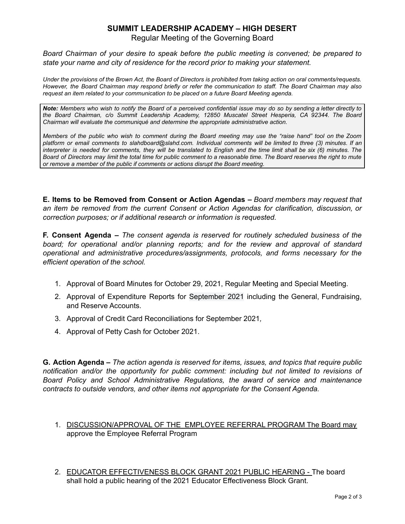# **SUMMIT LEADERSHIP ACADEMY – HIGH DESERT**

Regular Meeting of the Governing Board

*Board Chairman of your desire to speak before the public meeting is convened; be prepared to state your name and city of residence for the record prior to making your statement.*

Under the provisions of the Brown Act, the Board of Directors is prohibited from taking action on oral comments/requests. However, the Board Chairman may respond briefly or refer the communication to staff. The Board Chairman may also *request an item related to your communication to be placed on a future Board Meeting agenda.*

Note: Members who wish to notify the Board of a perceived confidential issue may do so by sending a letter directly to *the Board Chairman, c/o Summit Leadership Academy, 12850 Muscatel Street Hesperia, CA 92344. The Board Chairman will evaluate the communiqué and determine the appropriate administrative action.*

Members of the public who wish to comment during the Board meeting may use the "raise hand" tool on the Zoom platform or email comments to slahdboard@slahd.com. Individual comments will be limited to three (3) minutes. If an interpreter is needed for comments, they will be translated to English and the time limit shall be six (6) minutes. The Board of Directors may limit the total time for public comment to a reasonable time. The Board reserves the right to mute *or remove a member of the public if comments or actions disrupt the Board meeting.*

**E. Items to be Removed from Consent or Action Agendas –** *Board members may request that an item be removed from the current Consent or Action Agendas for clarification, discussion, or correction purposes; or if additional research or information is requested.*

**F. Consent Agenda –** *The consent agenda is reserved for routinely scheduled business of the board; for operational and/or planning reports; and for the review and approval of standard operational and administrative procedures/assignments, protocols, and forms necessary for the efficient operation of the school.*

- 1. Approval of Board Minutes for October 29, 2021, Regular Meeting and Special Meeting.
- 2. Approval of Expenditure Reports for September 2021 including the General, Fundraising, and Reserve Accounts.
- 3. Approval of Credit Card Reconciliations for September 2021*,*
- 4. Approval of Petty Cash for October 2021.

**G. Action Agenda –** *The action agenda is reserved for items, issues, and topics that require public notification and/or the opportunity for public comment: including but not limited to revisions of Board Policy and School Administrative Regulations, the award of service and maintenance contracts to outside vendors, and other items not appropriate for the Consent Agenda.*

- 1. DISCUSSION/APPROVAL OF THE EMPLOYEE REFERRAL PROGRAM The Board may approve the Employee Referral Program
- 2. EDUCATOR EFFECTIVENESS BLOCK GRANT 2021 PUBLIC HEARING The board shall hold a public hearing of the 2021 Educator Effectiveness Block Grant.